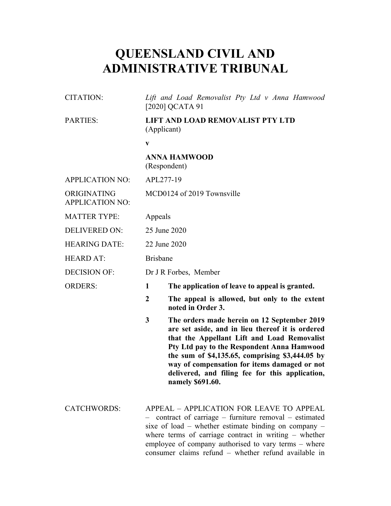# **QUEENSLAND CIVIL AND ADMINISTRATIVE TRIBUNAL**

| CITATION:                             | Lift and Load Removalist Pty Ltd v Anna Hamwood<br>[2020] QCATA 91                                                                                                                                                                                                                                                                |                                                                                                                                                                                                                                                                                                                                                                        |  |
|---------------------------------------|-----------------------------------------------------------------------------------------------------------------------------------------------------------------------------------------------------------------------------------------------------------------------------------------------------------------------------------|------------------------------------------------------------------------------------------------------------------------------------------------------------------------------------------------------------------------------------------------------------------------------------------------------------------------------------------------------------------------|--|
| PARTIES:                              | LIFT AND LOAD REMOVALIST PTY LTD<br>(Applicant)                                                                                                                                                                                                                                                                                   |                                                                                                                                                                                                                                                                                                                                                                        |  |
|                                       | $\mathbf{V}$                                                                                                                                                                                                                                                                                                                      |                                                                                                                                                                                                                                                                                                                                                                        |  |
|                                       |                                                                                                                                                                                                                                                                                                                                   | <b>ANNA HAMWOOD</b><br>(Respondent)                                                                                                                                                                                                                                                                                                                                    |  |
| <b>APPLICATION NO:</b>                |                                                                                                                                                                                                                                                                                                                                   | APL277-19                                                                                                                                                                                                                                                                                                                                                              |  |
| ORIGINATING<br><b>APPLICATION NO:</b> | MCD0124 of 2019 Townsville                                                                                                                                                                                                                                                                                                        |                                                                                                                                                                                                                                                                                                                                                                        |  |
| <b>MATTER TYPE:</b>                   | Appeals                                                                                                                                                                                                                                                                                                                           |                                                                                                                                                                                                                                                                                                                                                                        |  |
| <b>DELIVERED ON:</b>                  | 25 June 2020                                                                                                                                                                                                                                                                                                                      |                                                                                                                                                                                                                                                                                                                                                                        |  |
| <b>HEARING DATE:</b>                  | 22 June 2020                                                                                                                                                                                                                                                                                                                      |                                                                                                                                                                                                                                                                                                                                                                        |  |
| <b>HEARD AT:</b>                      | <b>Brisbane</b>                                                                                                                                                                                                                                                                                                                   |                                                                                                                                                                                                                                                                                                                                                                        |  |
| <b>DECISION OF:</b>                   | Dr J R Forbes, Member                                                                                                                                                                                                                                                                                                             |                                                                                                                                                                                                                                                                                                                                                                        |  |
| <b>ORDERS:</b>                        | 1                                                                                                                                                                                                                                                                                                                                 | The application of leave to appeal is granted.                                                                                                                                                                                                                                                                                                                         |  |
|                                       | $\overline{2}$                                                                                                                                                                                                                                                                                                                    | The appeal is allowed, but only to the extent<br>noted in Order 3.                                                                                                                                                                                                                                                                                                     |  |
|                                       | 3                                                                                                                                                                                                                                                                                                                                 | The orders made herein on 12 September 2019<br>are set aside, and in lieu thereof it is ordered<br>that the Appellant Lift and Load Removalist<br>Pty Ltd pay to the Respondent Anna Hamwood<br>the sum of \$4,135.65, comprising \$3,444.05 by<br>way of compensation for items damaged or not<br>delivered, and filing fee for this application,<br>namely \$691.60. |  |
| <b>CATCHWORDS:</b>                    | APPEAL - APPLICATION FOR LEAVE TO APPEAL<br>contract of carriage – furniture removal – estimated<br>sixe of load – whether estimate binding on company –<br>where terms of carriage contract in writing - whether<br>employee of company authorised to vary terms - where<br>consumer claims refund - whether refund available in |                                                                                                                                                                                                                                                                                                                                                                        |  |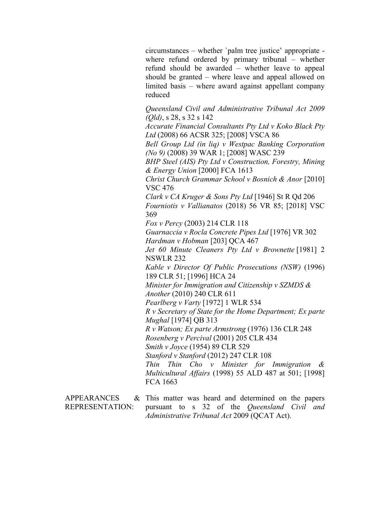circumstances – whether `palm tree justice' appropriate where refund ordered by primary tribunal – whether refund should be awarded – whether leave to appeal should be granted – where leave and appeal allowed on limited basis – where award against appellant company reduced

*Queensland Civil and Administrative Tribunal Act 2009 (Qld)*, s 28, s 32 s 142

*Accurate Financial Consultants Pty Ltd v Koko Black Pty Ltd* (2008) 66 ACSR 325; [2008] VSCA 86

*Bell Group Ltd (in liq) v Westpac Banking Corporation (No 9)* (2008) 39 WAR 1; [2008] WASC 239

*BHP Steel (AIS) Pty Ltd v Construction, Forestry, Mining & Energy Union* [2000] FCA 1613

*Christ Church Grammar School v Bosnich & Anor* [2010] VSC 476

*Clark v CA Kruger & Sons Pty Ltd* [1946] St R Qd 206 *Fourniotis v Vallianatos* (2018) 56 VR 85; [2018] VSC 369

*Fox v Percy* (2003) 214 CLR 118

*Guarnaccia v Rocla Concrete Pipes Ltd* [1976] VR 302 *Hardman v Hobman* [203] QCA 467

*Jet 60 Minute Cleaners Pty Ltd v Brownette* [1981] 2 NSWLR 232

*Kable v Director Of Public Prosecutions (NSW)* (1996) 189 CLR 51; [1996] HCA 24

*Minister for Immigration and Citizenship v SZMDS & Another* (2010) 240 CLR 611

*Pearlberg v Varty* [1972] 1 WLR 534

*R v Secretary of State for the Home Department; Ex parte Mughal* [1974] QB 313

*R v Watson; Ex parte Armstrong* (1976) 136 CLR 248 *Rosenberg v Percival* (2001) 205 CLR 434

*Smith v Joyce* (1954) 89 CLR 529 *Stanford v Stanford* (2012) 247 CLR 108

*Thin Thin Cho v Minister for Immigration & Multicultural Affairs* (1998) 55 ALD 487 at 501; [1998] FCA 1663

**APPEARANCES** REPRESENTATION: This matter was heard and determined on the papers pursuant to s 32 of the *Queensland Civil and Administrative Tribunal Act* 2009 (QCAT Act).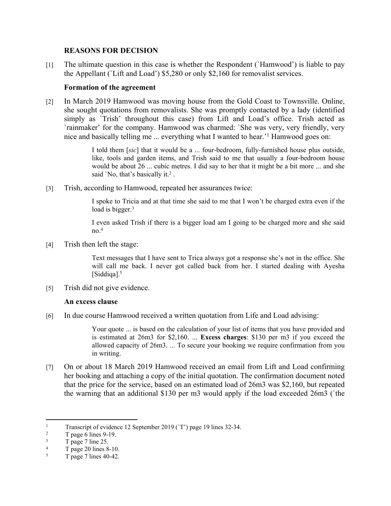### **REASONS FOR DECISION**

[1] The ultimate question in this case is whether the Respondent (`Hamwood') is liable to pay the Appellant (`Lift and Load') \$5,280 or only \$2,160 for removalist services.

#### **Formation of the agreement**

[2] In March 2019 Hamwood was moving house from the Gold Coast to Townsville. Online, she sought quotations from removalists. She was promptly contacted by a lady (identified simply as `Trish' throughout this case) from Lift and Load's office. Trish acted as `rainmaker' for the company. Hamwood was charmed: `She was very, very friendly, very nice and basically telling me ... everything what I wanted to hear.'<sup>1</sup> Hamwood goes on:

> I told them [*sic*] that it would be a ... four-bedroom, fully-furnished house plus outside, like, tools and garden items, and Trish said to me that usually a four-bedroom house would be about 26 ... cubic metres. I did say to her that it might be a bit more ... and she said `No, that's basically it. $2$ .

[3] Trish, according to Hamwood, repeated her assurances twice:

I spoke to Tricia and at that time she said to me that I won't be charged extra even if the load is bigger.<sup>3</sup>

I even asked Trish if there is a bigger load am I going to be charged more and she said  $no.<sup>4</sup>$ 

[4] Trish then left the stage:

Text messages that I have sent to Trica always got a response she's not in the office. She will call me back. I never got called back from her. I started dealing with Ayesha [Siddiqa].<sup>5</sup>

[5] Trish did not give evidence.

#### **An excess clause**

[6] In due course Hamwood received a written quotation from Life and Load advising:

Your quote ... is based on the calculation of your list of items that you have provided and is estimated at 26m3 for \$2,160. ... **Excess charges**: \$130 per m3 if you exceed the allowed capacity of 26m3. ... To secure your booking we require confirmation from you in writing.

[7] On or about 18 March 2019 Hamwood received an email from Lift and Load confirming her booking and attaching a copy of the initial quotation. The confirmation document noted that the price for the service, based on an estimated load of 26m3 was \$2,160, but repeated the warning that an additional \$130 per m3 would apply if the load exceeded 26m3 (`the

<sup>1</sup> Transcript of evidence 12 September 2019 (`T') page 19 lines 32-34.

<sup>2</sup> T page 6 lines 9-19.

<sup>3</sup> T page 7 line 25.

<sup>4</sup> T page 20 lines 8-10.

<sup>5</sup> T page 7 lines 40-42.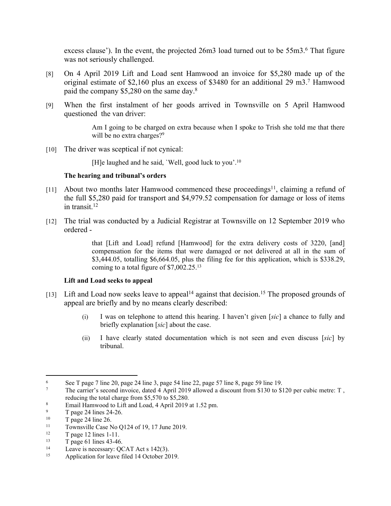excess clause'). In the event, the projected 26m3 load turned out to be 55m3.<sup>6</sup> That figure was not seriously challenged.

- [8] On 4 April 2019 Lift and Load sent Hamwood an invoice for \$5,280 made up of the original estimate of \$2,160 plus an excess of \$3480 for an additional 29 m3.<sup>7</sup> Hamwood paid the company \$5,280 on the same day.<sup>8</sup>
- [9] When the first instalment of her goods arrived in Townsville on 5 April Hamwood questioned the van driver:

Am I going to be charged on extra because when I spoke to Trish she told me that there will be no extra charges?<sup>9</sup>

[10] The driver was sceptical if not cynical:

[H]e laughed and he said, `Well, good luck to you'.<sup>10</sup>

#### **The hearing and tribunal's orders**

- [11] About two months later Hamwood commenced these proceedings<sup>11</sup>, claiming a refund of the full \$5,280 paid for transport and \$4,979.52 compensation for damage or loss of items in transit. $12$
- [12] The trial was conducted by a Judicial Registrar at Townsville on 12 September 2019 who ordered -

that [Lift and Load] refund [Hamwood] for the extra delivery costs of 3220, [and] compensation for the items that were damaged or not delivered at all in the sum of \$3,444.05, totalling \$6,664.05, plus the filing fee for this application, which is \$338.29, coming to a total figure of \$7,002.25.<sup>13</sup>

#### **Lift and Load seeks to appeal**

- [13] Lift and Load now seeks leave to appeal<sup>14</sup> against that decision.<sup>15</sup> The proposed grounds of appeal are briefly and by no means clearly described:
	- (i) I was on telephone to attend this hearing. I haven't given [*sic*] a chance to fully and briefly explanation [*sic*] about the case.
	- (ii) I have clearly stated documentation which is not seen and even discuss [*sic*] by tribunal.

<sup>6</sup> See T page 7 line 20, page 24 line 3, page 54 line 22, page 57 line 8, page 59 line 19.

<sup>7</sup> The carrier's second invoice, dated 4 April 2019 allowed a discount from \$130 to \$120 per cubic metre: T, reducing the total charge from \$5,570 to \$5,280.

<sup>8</sup> Email Hamwood to Lift and Load, 4 April 2019 at 1.52 pm.

<sup>9</sup>  $T$  page 24 lines 24-26.

 $\frac{10}{11}$  T page 24 line 26.

<sup>&</sup>lt;sup>11</sup> Townsville Case No Q124 of 19, 17 June 2019.<br>
The 12 lines 1-11

 $12 \t\t T page 12 lines 1-11.$ <br> $13 \t\t T page 61 lines 43.46$ 

 $T$  page 61 lines 43-46.

<sup>&</sup>lt;sup>14</sup> Leave is necessary: QCAT Act s 142(3).<br> **Application for leave filed 14 October 20** 

Application for leave filed 14 October 2019.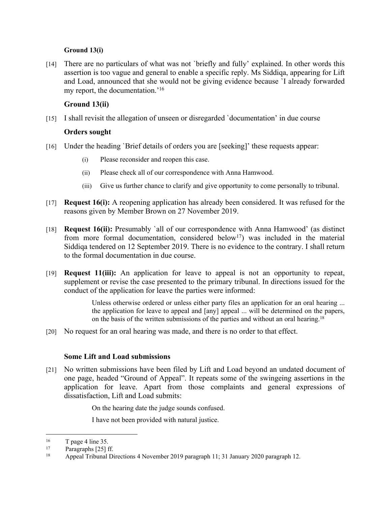#### **Ground 13(i)**

[14] There are no particulars of what was not `briefly and fully' explained. In other words this assertion is too vague and general to enable a specific reply. Ms Siddiqa, appearing for Lift and Load, announced that she would not be giving evidence because `I already forwarded my report, the documentation.'<sup>16</sup>

## **Ground 13(ii)**

[15] I shall revisit the allegation of unseen or disregarded `documentation' in due course

#### **Orders sought**

- [16] Under the heading `Brief details of orders you are [seeking]' these requests appear:
	- (i) Please reconsider and reopen this case.
	- (ii) Please check all of our correspondence with Anna Hamwood.
	- (iii) Give us further chance to clarify and give opportunity to come personally to tribunal.
- [17] **Request 16(i):** A reopening application has already been considered. It was refused for the reasons given by Member Brown on 27 November 2019.
- [18] **Request 16(ii):** Presumably `all of our correspondence with Anna Hamwood' (as distinct from more formal documentation, considered below<sup>17</sup>) was included in the material Siddiqa tendered on 12 September 2019. There is no evidence to the contrary. I shall return to the formal documentation in due course.
- [19] **Request 11(iii):** An application for leave to appeal is not an opportunity to repeat, supplement or revise the case presented to the primary tribunal. In directions issued for the conduct of the application for leave the parties were informed:

Unless otherwise ordered or unless either party files an application for an oral hearing ... the application for leave to appeal and [any] appeal ... will be determined on the papers, on the basis of the written submissions of the parties and without an oral hearing.<sup>18</sup>

[20] No request for an oral hearing was made, and there is no order to that effect.

#### **Some Lift and Load submissions**

[21] No written submissions have been filed by Lift and Load beyond an undated document of one page, headed "Ground of Appeal". It repeats some of the swingeing assertions in the application for leave. Apart from those complaints and general expressions of dissatisfaction, Lift and Load submits:

On the hearing date the judge sounds confused.

I have not been provided with natural justice.

 $\frac{16}{17}$  T page 4 line 35.

Paragraphs [25] ff.

<sup>18</sup> Appeal Tribunal Directions 4 November 2019 paragraph 11; 31 January 2020 paragraph 12.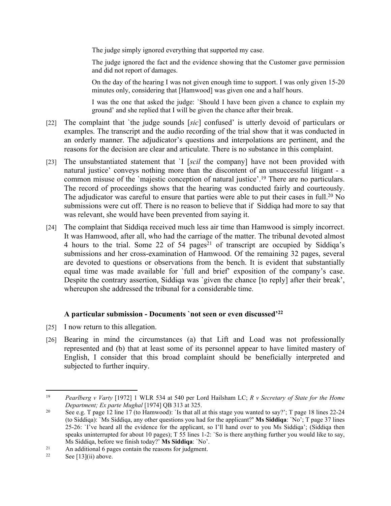The judge simply ignored everything that supported my case.

The judge ignored the fact and the evidence showing that the Customer gave permission and did not report of damages.

On the day of the hearing I was not given enough time to support. I was only given 15-20 minutes only, considering that [Hamwood] was given one and a half hours.

I was the one that asked the judge: `Should I have been given a chance to explain my ground' and she replied that I will be given the chance after their break.

- [22] The complaint that `the judge sounds [*sic*] confused' is utterly devoid of particulars or examples. The transcript and the audio recording of the trial show that it was conducted in an orderly manner. The adjudicator's questions and interpolations are pertinent, and the reasons for the decision are clear and articulate. There is no substance in this complaint.
- [23] The unsubstantiated statement that `I [*scil* the company] have not been provided with natural justice' conveys nothing more than the discontent of an unsuccessful litigant - a common misuse of the `majestic conception of natural justice'.<sup>19</sup> There are no particulars. The record of proceedings shows that the hearing was conducted fairly and courteously. The adjudicator was careful to ensure that parties were able to put their cases in full.<sup>20</sup> No submissions were cut off. There is no reason to believe that if Siddiqa had more to say that was relevant, she would have been prevented from saying it.
- [24] The complaint that Siddiqa received much less air time than Hamwood is simply incorrect. It was Hamwood, after all, who had the carriage of the matter. The tribunal devoted almost 4 hours to the trial. Some 22 of 54 pages<sup>21</sup> of transcript are occupied by Siddiqa's submissions and her cross-examination of Hamwood. Of the remaining 32 pages, several are devoted to questions or observations from the bench. It is evident that substantially equal time was made available for `full and brief' exposition of the company's case. Despite the contrary assertion, Siddiqa was 'given the chance [to reply] after their break', whereupon she addressed the tribunal for a considerable time.

## **A particular submission - Documents `not seen or even discussed'<sup>22</sup>**

- [25] I now return to this allegation.
- [26] Bearing in mind the circumstances (a) that Lift and Load was not professionally represented and (b) that at least some of its personnel appear to have limited mastery of English, I consider that this broad complaint should be beneficially interpreted and subjected to further inquiry.

<sup>19</sup> *Pearlberg v Varty* [1972] 1 WLR 534 at 540 per Lord Hailsham LC; *R v Secretary of State for the Home Department; Ex parte Mughal* [1974] QB 313 at 325.

<sup>&</sup>lt;sup>20</sup> See e.g. T page 12 line 17 (to Hamwood): `Is that all at this stage you wanted to say?'; T page 18 lines 22-24 (to Siddiqa): `Ms Siddiqa, any other questions you had for the applicant?**' Ms Siddiqa**: `No'; T page 37 lines 25-26: `I've heard all the evidence for the applicant, so I'll hand over to you Ms Siddiqa'; (Siddiqa then speaks uninterrupted for about 10 pages); T 55 lines 1-2: `So is there anything further you would like to say, Ms Siddiqa, before we finish today?' **Ms Siddiqa**: `No'.

<sup>21</sup> An additional 6 pages contain the reasons for judgment.<br> $22 \qquad$  See [131(ii) above

See  $[13]$ (ii) above.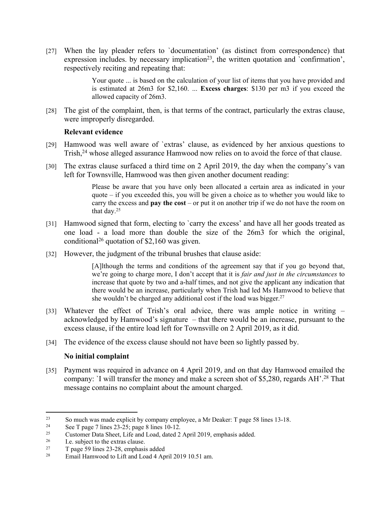[27] When the lay pleader refers to `documentation' (as distinct from correspondence) that expression includes. by necessary implication<sup>23</sup>, the written quotation and `confirmation', respectively reciting and repeating that:

> Your quote ... is based on the calculation of your list of items that you have provided and is estimated at 26m3 for \$2,160. ... **Excess charges**: \$130 per m3 if you exceed the allowed capacity of 26m3.

[28] The gist of the complaint, then, is that terms of the contract, particularly the extras clause, were improperly disregarded.

#### **Relevant evidence**

- [29] Hamwood was well aware of `extras' clause, as evidenced by her anxious questions to Trish,<sup>24</sup> whose alleged assurance Hamwood now relies on to avoid the force of that clause.
- [30] The extras clause surfaced a third time on 2 April 2019, the day when the company's van left for Townsville, Hamwood was then given another document reading:

Please be aware that you have only been allocated a certain area as indicated in your quote  $-$  if you exceeded this, you will be given a choice as to whether you would like to carry the excess and **pay the cost** – or put it on another trip if we do not have the room on that day.<sup>25</sup>

- [31] Hamwood signed that form, electing to 'carry the excess' and have all her goods treated as one load - a load more than double the size of the 26m3 for which the original, conditional<sup>26</sup> quotation of \$2,160 was given.
- [32] However, the judgment of the tribunal brushes that clause aside:

[A]lthough the terms and conditions of the agreement say that if you go beyond that, we're going to charge more, I don't accept that it is *fair and just in the circumstances* to increase that quote by two and a-half times, and not give the applicant any indication that there would be an increase, particularly when Trish had led Ms Hamwood to believe that she wouldn't be charged any additional cost if the load was bigger.<sup>27</sup>

- [33] Whatever the effect of Trish's oral advice, there was ample notice in writing acknowledged by Hamwood's signature – that there would be an increase, pursuant to the excess clause, if the entire load left for Townsville on 2 April 2019, as it did.
- [34] The evidence of the excess clause should not have been so lightly passed by.

## **No initial complaint**

[35] Payment was required in advance on 4 April 2019, and on that day Hamwood emailed the company: `I will transfer the money and make a screen shot of \$5,280, regards AH'.<sup>28</sup> That message contains no complaint about the amount charged.

<sup>&</sup>lt;sup>23</sup> So much was made explicit by company employee, a Mr Deaker: T page 58 lines 13-18.<br>
See T page 7 lines 23, 25; page 8 lines 10, 12

<sup>&</sup>lt;sup>24</sup> See T page 7 lines 23-25; page 8 lines 10-12.<br><sup>25</sup> Customer Data Sheet I ife and Load dated 2

<sup>&</sup>lt;sup>25</sup> Customer Data Sheet, Life and Load, dated 2 April 2019, emphasis added.<br> $\frac{1}{26}$  Le subject to the outres algune

<sup>&</sup>lt;sup>26</sup> I.e. subject to the extras clause.<br><sup>27</sup> T page 59 lines 23-28 emphasis

<sup>&</sup>lt;sup>27</sup> T page 59 lines 23-28, emphasis added<br><sup>28</sup> Email Hamwood to Lift and Load 4. Ap

Email Hamwood to Lift and Load 4 April 2019 10.51 am.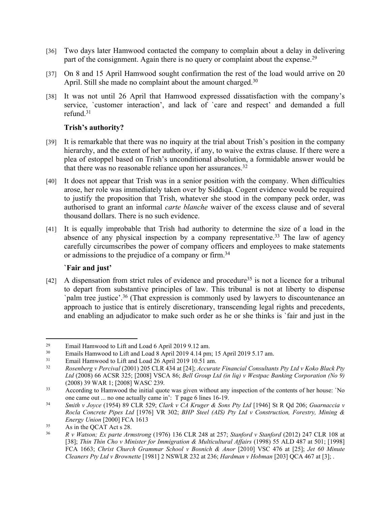- [36] Two days later Hamwood contacted the company to complain about a delay in delivering part of the consignment. Again there is no query or complaint about the expense.<sup>29</sup>
- [37] On 8 and 15 April Hamwood sought confirmation the rest of the load would arrive on 20 April. Still she made no complaint about the amount charged.<sup>30</sup>
- [38] It was not until 26 April that Hamwood expressed dissatisfaction with the company's service, `customer interaction', and lack of `care and respect' and demanded a full refund.<sup>31</sup>

### **Trish's authority?**

- [39] It is remarkable that there was no inquiry at the trial about Trish's position in the company hierarchy, and the extent of her authority, if any, to waive the extras clause. If there were a plea of estoppel based on Trish's unconditional absolution, a formidable answer would be that there was no reasonable reliance upon her assurances.<sup>32</sup>
- [40] It does not appear that Trish was in a senior position with the company. When difficulties arose, her role was immediately taken over by Siddiqa. Cogent evidence would be required to justify the proposition that Trish, whatever she stood in the company peck order, was authorised to grant an informal *carte blanche* waiver of the excess clause and of several thousand dollars. There is no such evidence.
- [41] It is equally improbable that Trish had authority to determine the size of a load in the absence of any physical inspection by a company representative.<sup>33</sup> The law of agency carefully circumscribes the power of company officers and employees to make statements or admissions to the prejudice of a company or firm.<sup>34</sup>

#### **`Fair and just'**

 $[42]$  A dispensation from strict rules of evidence and procedure<sup>35</sup> is not a licence for a tribunal to depart from substantive principles of law. This tribunal is not at liberty to dispense `palm tree justice'.<sup>36</sup> (That expression is commonly used by lawyers to discountenance an approach to justice that is entirely discretionary, transcending legal rights and precedents, and enabling an adjudicator to make such order as he or she thinks is `fair and just in the

<sup>&</sup>lt;sup>29</sup> Email Hamwood to Lift and Load 6 April 2019 9.12 am.<br><sup>30</sup> Emails Hamwood to Lift and Load 8 April 2019 4.14 pm

<sup>&</sup>lt;sup>30</sup> Emails Hamwood to Lift and Load 8 April 2019 4.14 pm; 15 April 2019 5.17 am.<br><sup>31</sup> Email Hamwood to Lift and Load 26 April 2019 10.51 am

Email Hamwood to Lift and Load 26 April 2019 10.51 am.

<sup>32</sup> *Rosenberg v Percival* (2001) 205 CLR 434 at [24]; *Accurate Financial Consultants Pty Ltd v Koko Black Pty Ltd* (2008) 66 ACSR 325; [2008] VSCA 86; *Bell Group Ltd (in liq) v Westpac Banking Corporation (No 9)*  (2008) 39 WAR 1; [2008] WASC 239.

<sup>&</sup>lt;sup>33</sup> According to Hamwood the initial quote was given without any inspection of the contents of her house: `No one came out ... no one actually came in': T page 6 lines 16-19.

<sup>34</sup> *Smith v Joyce* (1954) 89 CLR 529; *Clark v CA Kruger & Sons Pty Ltd* [1946] St R Qd 206; *Guarnaccia v Rocla Concrete Pipes Ltd* [1976] VR 302; *BHP Steel (AIS) Pty Ltd v Construction, Forestry, Mining & Energy Union* [2000] FCA 1613

<sup>&</sup>lt;sup>35</sup> As in the QCAT Act s 28.

<sup>36</sup> *R v Watson; Ex parte Armstrong* (1976) 136 CLR 248 at 257; *Stanford v Stanford* (2012) 247 CLR 108 at [38]; *Thin Thin Cho v Minister for Immigration & Multicultural Affairs* (1998) 55 ALD 487 at 501; [1998] FCA 1663; *Christ Church Grammar School v Bosnich & Anor* [2010] VSC 476 at [25]; *Jet 60 Minute Cleaners Pty Ltd v Brownette* [1981] 2 NSWLR 232 at 236; *Hardman v Hobman* [203] QCA 467 at [3]; .